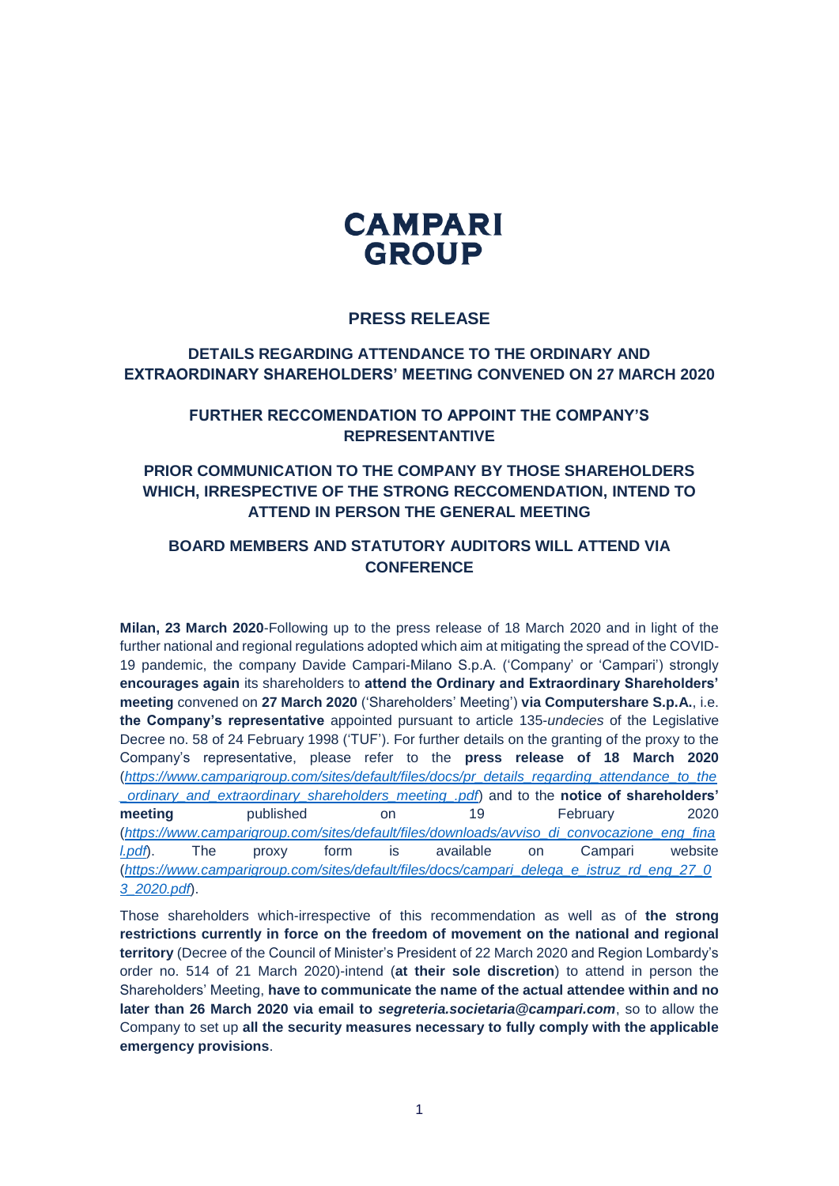

## **PRESS RELEASE**

## **DETAILS REGARDING ATTENDANCE TO THE ORDINARY AND EXTRAORDINARY SHAREHOLDERS' MEETING CONVENED ON 27 MARCH 2020**

#### **FURTHER RECCOMENDATION TO APPOINT THE COMPANY'S REPRESENTANTIVE**

# **PRIOR COMMUNICATION TO THE COMPANY BY THOSE SHAREHOLDERS WHICH, IRRESPECTIVE OF THE STRONG RECCOMENDATION, INTEND TO ATTEND IN PERSON THE GENERAL MEETING**

# **BOARD MEMBERS AND STATUTORY AUDITORS WILL ATTEND VIA CONFERENCE**

**Milan, 23 March 2020**-Following up to the press release of 18 March 2020 and in light of the further national and regional regulations adopted which aim at mitigating the spread of the COVID-19 pandemic, the company Davide Campari-Milano S.p.A. ('Company' or 'Campari') strongly **encourages again** its shareholders to **attend the Ordinary and Extraordinary Shareholders' meeting** convened on **27 March 2020** ('Shareholders' Meeting') **via Computershare S.p.A.**, i.e. **the Company's representative** appointed pursuant to article 135-*undecies* of the Legislative Decree no. 58 of 24 February 1998 ('TUF'). For further details on the granting of the proxy to the Company's representative, please refer to the **press release of 18 March 2020** (*[https://www.camparigroup.com/sites/default/files/docs/pr\\_details\\_regarding\\_attendance\\_to\\_the](https://www.camparigroup.com/sites/default/files/docs/pr_details_regarding_attendance_to_the_ordinary_and_extraordinary_shareholders_meeting_.pdf) [\\_ordinary\\_and\\_extraordinary\\_shareholders\\_meeting\\_.pdf](https://www.camparigroup.com/sites/default/files/docs/pr_details_regarding_attendance_to_the_ordinary_and_extraordinary_shareholders_meeting_.pdf)*) and to the **notice of shareholders' meeting** published on 19 February 2020 (*[https://www.camparigroup.com/sites/default/files/downloads/avviso\\_di\\_convocazione\\_eng\\_fina](https://www.camparigroup.com/sites/default/files/downloads/avviso_di_convocazione_eng_final.pdf) [l.pdf](https://www.camparigroup.com/sites/default/files/downloads/avviso_di_convocazione_eng_final.pdf)*). The proxy form is available on Campari website (*[https://www.camparigroup.com/sites/default/files/docs/campari\\_delega\\_e\\_istruz\\_rd\\_eng\\_27\\_0](https://www.camparigroup.com/sites/default/files/docs/campari_delega_e_istruz_rd_eng_27_03_2020.pdf) [3\\_2020.pdf](https://www.camparigroup.com/sites/default/files/docs/campari_delega_e_istruz_rd_eng_27_03_2020.pdf)*).

Those shareholders which-irrespective of this recommendation as well as of **the strong restrictions currently in force on the freedom of movement on the national and regional territory** (Decree of the Council of Minister's President of 22 March 2020 and Region Lombardy's order no. 514 of 21 March 2020)-intend (**at their sole discretion**) to attend in person the Shareholders' Meeting, **have to communicate the name of the actual attendee within and no later than 26 March 2020 via email to** *segreteria.societaria@campari.com*, so to allow the Company to set up **all the security measures necessary to fully comply with the applicable emergency provisions**.